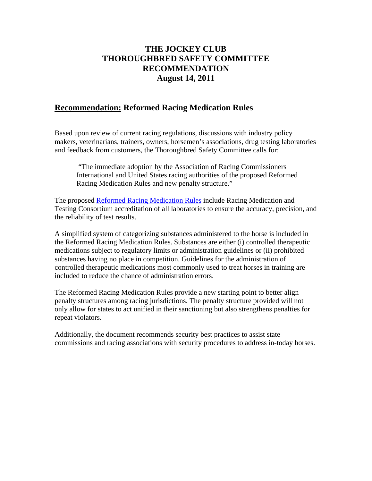## **THE JOCKEY CLUB THOROUGHBRED SAFETY COMMITTEE RECOMMENDATION August 14, 2011**

## **Recommendation: Reformed Racing Medication Rules**

Based upon review of current racing regulations, discussions with industry policy makers, veterinarians, trainers, owners, horsemen's associations, drug testing laboratories and feedback from customers, the Thoroughbred Safety Committee calls for:

 "The immediate adoption by the Association of Racing Commissioners International and United States racing authorities of the proposed Reformed Racing Medication Rules and new penalty structure."

The proposed [Reformed Racing Medication Rules](#page-1-0) include Racing Medication and Testing Consortium accreditation of all laboratories to ensure the accuracy, precision, and the reliability of test results.

A simplified system of categorizing substances administered to the horse is included in the Reformed Racing Medication Rules. Substances are either (i) controlled therapeutic medications subject to regulatory limits or administration guidelines or (ii) prohibited substances having no place in competition. Guidelines for the administration of controlled therapeutic medications most commonly used to treat horses in training are included to reduce the chance of administration errors.

The Reformed Racing Medication Rules provide a new starting point to better align penalty structures among racing jurisdictions. The penalty structure provided will not only allow for states to act unified in their sanctioning but also strengthens penalties for repeat violators.

Additionally, the document recommends security best practices to assist state commissions and racing associations with security procedures to address in-today horses.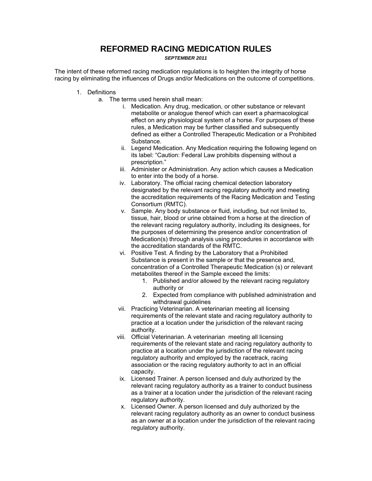## **REFORMED RACING MEDICATION RULES**

*SEPTEMBER 2011* 

<span id="page-1-0"></span>The intent of these reformed racing medication regulations is to heighten the integrity of horse racing by eliminating the influences of Drugs and/or Medications on the outcome of competitions.

- 1. Definitions
	- a. The terms used herein shall mean:
		- i. Medication. Any drug, medication, or other substance or relevant metabolite or analogue thereof which can exert a pharmacological effect on any physiological system of a horse. For purposes of these rules, a Medication may be further classified and subsequently defined as either a Controlled Therapeutic Medication or a Prohibited Substance.
		- ii. Legend Medication. Any Medication requiring the following legend on its label: "Caution: Federal Law prohibits dispensing without a prescription."
		- iii. Administer or Administration. Any action which causes a Medication to enter into the body of a horse.
		- iv. Laboratory. The official racing chemical detection laboratory designated by the relevant racing regulatory authority and meeting the accreditation requirements of the Racing Medication and Testing Consortium (RMTC).
		- v. Sample. Any body substance or fluid, including, but not limited to, tissue, hair, blood or urine obtained from a horse at the direction of the relevant racing regulatory authority, including its designees, for the purposes of determining the presence and/or concentration of Medication(s) through analysis using procedures in accordance with the accreditation standards of the RMTC.
		- vi. Positive Test. A finding by the Laboratory that a Prohibited Substance is present in the sample or that the presence and, concentration of a Controlled Therapeutic Medication (s) or relevant metabolites thereof in the Sample exceed the limits:
			- 1. Published and/or allowed by the relevant racing regulatory authority or
			- 2. Expected from compliance with published administration and withdrawal quidelines
		- vii. Practicing Veterinarian. A veterinarian meeting all licensing requirements of the relevant state and racing regulatory authority to practice at a location under the jurisdiction of the relevant racing authority.
		- viii. Official Veterinarian. A veterinarian meeting all licensing requirements of the relevant state and racing regulatory authority to practice at a location under the jurisdiction of the relevant racing regulatory authority and employed by the racetrack, racing association or the racing regulatory authority to act in an official capacity.
		- ix. Licensed Trainer. A person licensed and duly authorized by the relevant racing regulatory authority as a trainer to conduct business as a trainer at a location under the jurisdiction of the relevant racing regulatory authority.
		- x. Licensed Owner. A person licensed and duly authorized by the relevant racing regulatory authority as an owner to conduct business as an owner at a location under the jurisdiction of the relevant racing regulatory authority.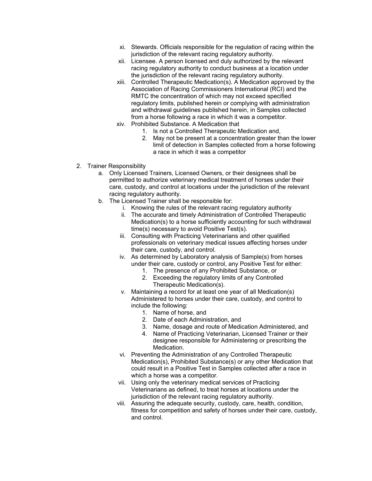- xi. Stewards. Officials responsible for the regulation of racing within the jurisdiction of the relevant racing regulatory authority.
- xii. Licensee. A person licensed and duly authorized by the relevant racing regulatory authority to conduct business at a location under the jurisdiction of the relevant racing regulatory authority.
- xiii. Controlled Therapeutic Medication(s). A Medication approved by the Association of Racing Commissioners International (RCI) and the RMTC the concentration of which may not exceed specified regulatory limits, published herein or complying with administration and withdrawal guidelines published herein, in Samples collected from a horse following a race in which it was a competitor.
- xiv. Prohibited Substance. A Medication that
	- 1. Is not a Controlled Therapeutic Medication and,
	- 2. May not be present at a concentration greater than the lower limit of detection in Samples collected from a horse following a race in which it was a competitor
- 2. Trainer Responsibility
	- a. Only Licensed Trainers, Licensed Owners, or their designees shall be permitted to authorize veterinary medical treatment of horses under their care, custody, and control at locations under the jurisdiction of the relevant racing regulatory authority.
	- b. The Licensed Trainer shall be responsible for:
		- i. Knowing the rules of the relevant racing regulatory authority
		- ii. The accurate and timely Administration of Controlled Therapeutic Medication(s) to a horse sufficiently accounting for such withdrawal time(s) necessary to avoid Positive Test(s).
		- iii. Consulting with Practicing Veterinarians and other qualified professionals on veterinary medical issues affecting horses under their care, custody, and control.
		- iv. As determined by Laboratory analysis of Sample(s) from horses under their care, custody or control, any Positive Test for either:
			- 1. The presence of any Prohibited Substance, or
			- 2. Exceeding the regulatory limits of any Controlled Therapeutic Medication(s).
		- v. Maintaining a record for at least one year of all Medication(s) Administered to horses under their care, custody, and control to include the following:
			- 1. Name of horse, and
			- 2. Date of each Administration, and
			- 3. Name, dosage and route of Medication Administered, and
			- 4. Name of Practicing Veterinarian, Licensed Trainer or their designee responsible for Administering or prescribing the Medication.
		- vi. Preventing the Administration of any Controlled Therapeutic Medication(s), Prohibited Substance(s) or any other Medication that could result in a Positive Test in Samples collected after a race in which a horse was a competitor.
		- vii. Using only the veterinary medical services of Practicing Veterinarians as defined, to treat horses at locations under the jurisdiction of the relevant racing regulatory authority.
		- viii. Assuring the adequate security, custody, care, health, condition, fitness for competition and safety of horses under their care, custody, and control.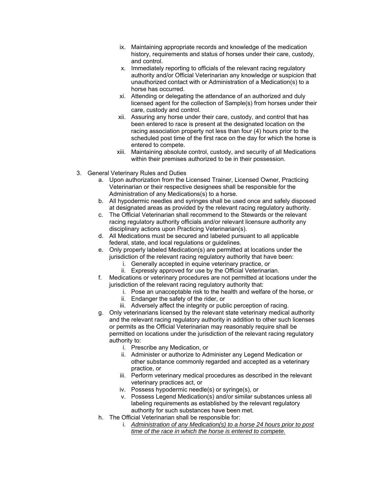- ix. Maintaining appropriate records and knowledge of the medication history, requirements and status of horses under their care, custody, and control.
- x. Immediately reporting to officials of the relevant racing regulatory authority and/or Official Veterinarian any knowledge or suspicion that unauthorized contact with or Administration of a Medication(s) to a horse has occurred.
- xi. Attending or delegating the attendance of an authorized and duly licensed agent for the collection of Sample(s) from horses under their care, custody and control.
- xii. Assuring any horse under their care, custody, and control that has been entered to race is present at the designated location on the racing association property not less than four (4) hours prior to the scheduled post time of the first race on the day for which the horse is entered to compete.
- xiii. Maintaining absolute control, custody, and security of all Medications within their premises authorized to be in their possession.
- 3. General Veterinary Rules and Duties
	- a. Upon authorization from the Licensed Trainer, Licensed Owner, Practicing Veterinarian or their respective designees shall be responsible for the Administration of any Medications(s) to a horse.
	- b. All hypodermic needles and syringes shall be used once and safely disposed at designated areas as provided by the relevant racing regulatory authority.
	- c. The Official Veterinarian shall recommend to the Stewards or the relevant racing regulatory authority officials and/or relevant licensure authority any disciplinary actions upon Practicing Veterinarian(s).
	- d. All Medications must be secured and labeled pursuant to all applicable federal, state, and local regulations or guidelines.
	- e. Only properly labeled Medication(s) are permitted at locations under the jurisdiction of the relevant racing regulatory authority that have been:
		- i. Generally accepted in equine veterinary practice, or
		- ii. Expressly approved for use by the Official Veterinarian.
	- f. Medications or veterinary procedures are not permitted at locations under the jurisdiction of the relevant racing regulatory authority that:
		- i. Pose an unacceptable risk to the health and welfare of the horse, or
		- ii. Endanger the safety of the rider, or
		- iii. Adversely affect the integrity or public perception of racing.
	- g. Only veterinarians licensed by the relevant state veterinary medical authority and the relevant racing regulatory authority in addition to other such licenses or permits as the Official Veterinarian may reasonably require shall be permitted on locations under the jurisdiction of the relevant racing regulatory authority to:
		- i. Prescribe any Medication, or
		- ii. Administer or authorize to Administer any Legend Medication or other substance commonly regarded and accepted as a veterinary practice, or
		- iii. Perform veterinary medical procedures as described in the relevant veterinary practices act, or
		- iv. Possess hypodermic needle(s) or syringe(s), or
		- v. Possess Legend Medication(s) and/or similar substances unless all labeling requirements as established by the relevant regulatory authority for such substances have been met.
	- h. The Official Veterinarian shall be responsible for:
		- i. *Administration of any Medication(s) to a horse 24 hours prior to post time of the race in which the horse is entered to compete.*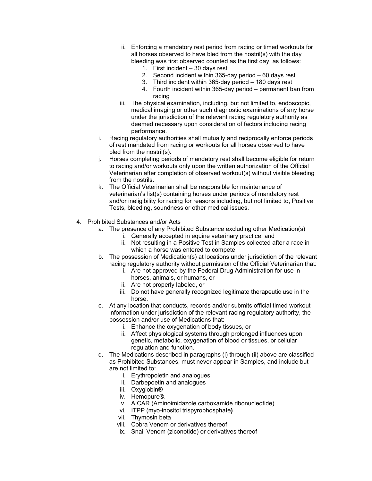- ii. Enforcing a mandatory rest period from racing or timed workouts for all horses observed to have bled from the nostril(s) with the day bleeding was first observed counted as the first day, as follows:
	- 1. First incident 30 days rest
	- 2. Second incident within 365-day period 60 days rest
	- 3. Third incident within 365-day period 180 days rest
	- 4. Fourth incident within 365-day period permanent ban from racing
- iii. The physical examination, including, but not limited to, endoscopic, medical imaging or other such diagnostic examinations of any horse under the jurisdiction of the relevant racing regulatory authority as deemed necessary upon consideration of factors including racing performance.
- i. Racing regulatory authorities shall mutually and reciprocally enforce periods of rest mandated from racing or workouts for all horses observed to have bled from the nostril(s).
- j. Horses completing periods of mandatory rest shall become eligible for return to racing and/or workouts only upon the written authorization of the Official Veterinarian after completion of observed workout(s) without visible bleeding from the nostrils.
- k. The Official Veterinarian shall be responsible for maintenance of veterinarian's list(s) containing horses under periods of mandatory rest and/or ineligibility for racing for reasons including, but not limited to, Positive Tests, bleeding, soundness or other medical issues.
- 4. Prohibited Substances and/or Acts
	- a. The presence of any Prohibited Substance excluding other Medication(s)
		- i. Generally accepted in equine veterinary practice, and
		- ii. Not resulting in a Positive Test in Samples collected after a race in which a horse was entered to compete.
	- b. The possession of Medication(s) at locations under jurisdiction of the relevant racing regulatory authority without permission of the Official Veterinarian that:
		- i. Are not approved by the Federal Drug Administration for use in horses, animals, or humans, or
		- ii. Are not properly labeled, or
		- iii. Do not have generally recognized legitimate therapeutic use in the horse.
	- c. At any location that conducts, records and/or submits official timed workout information under jurisdiction of the relevant racing regulatory authority, the possession and/or use of Medications that:
		- i. Enhance the oxygenation of body tissues, or
		- ii. Affect physiological systems through prolonged influences upon genetic, metabolic, oxygenation of blood or tissues, or cellular regulation and function.
	- d. The Medications described in paragraphs (i) through (ii) above are classified as Prohibited Substances, must never appear in Samples, and include but are not limited to:
		- i. Erythropoietin and analogues
		- ii. Darbepoetin and analogues
		- iii. Oxyglobin®
		- iv. Hemopure®.
		- v. AICAR (Aminoimidazole carboxamide ribonucleotide)
		- vi. ITPP (myo-inositol trispyrophosphate**)**
		- vii. Thymosin beta
		- viii. Cobra Venom or derivatives thereof
		- ix. Snail Venom (ziconotide) or derivatives thereof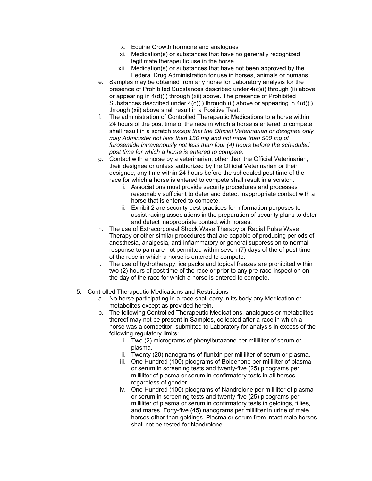- x. Equine Growth hormone and analogues
- xi. Medication(s) or substances that have no generally recognized legitimate therapeutic use in the horse
- xii. Medication(s) or substances that have not been approved by the Federal Drug Administration for use in horses, animals or humans.
- e. Samples may be obtained from any horse for Laboratory analysis for the presence of Prohibited Substances described under 4(c)(i) through (ii) above or appearing in 4(d)(i) through (xii) above. The presence of Prohibited Substances described under 4(c)(i) through (ii) above or appearing in 4(d)(i) through (xii) above shall result in a Positive Test.
- f. The administration of Controlled Therapeutic Medications to a horse within 24 hours of the post time of the race in which a horse is entered to compete shall result in a scratch *except that the Official Veterinarian or designee only may Administer not less than 150 mg and not more than 500 mg of furosemide intravenously not less than four (4) hours before the scheduled post time for which a horse is entered to compete*.
- g. Contact with a horse by a veterinarian, other than the Official Veterinarian, their designee or unless authorized by the Official Veterinarian or their designee, any time within 24 hours before the scheduled post time of the race for which a horse is entered to compete shall result in a scratch.
	- i. Associations must provide security procedures and processes reasonably sufficient to deter and detect inappropriate contact with a horse that is entered to compete.
	- ii. Exhibit 2 are security best practices for information purposes to assist racing associations in the preparation of security plans to deter and detect inappropriate contact with horses.
- h. The use of Extracorporeal Shock Wave Therapy or Radial Pulse Wave Therapy or other similar procedures that are capable of producing periods of anesthesia, analgesia, anti-inflammatory or general suppression to normal response to pain are not permitted within seven (7) days of the of post time of the race in which a horse is entered to compete.
- i. The use of hydrotherapy, ice packs and topical freezes are prohibited within two (2) hours of post time of the race or prior to any pre-race inspection on the day of the race for which a horse is entered to compete.
- 5. Controlled Therapeutic Medications and Restrictions
	- a. No horse participating in a race shall carry in its body any Medication or metabolites except as provided herein.
	- b. The following Controlled Therapeutic Medications, analogues or metabolites thereof may not be present in Samples, collected after a race in which a horse was a competitor, submitted to Laboratory for analysis in excess of the following regulatory limits:
		- i. Two (2) micrograms of phenylbutazone per milliliter of serum or plasma.
		- ii. Twenty (20) nanograms of flunixin per milliliter of serum or plasma.
		- iii. One Hundred (100) picograms of Boldenone per milliliter of plasma or serum in screening tests and twenty-five (25) picograms per milliliter of plasma or serum in confirmatory tests in all horses regardless of gender.
		- iv. One Hundred (100) picograms of Nandrolone per milliliter of plasma or serum in screening tests and twenty-five (25) picograms per milliliter of plasma or serum in confirmatory tests in geldings, fillies, and mares. Forty-five (45) nanograms per milliliter in urine of male horses other than geldings. Plasma or serum from intact male horses shall not be tested for Nandrolone.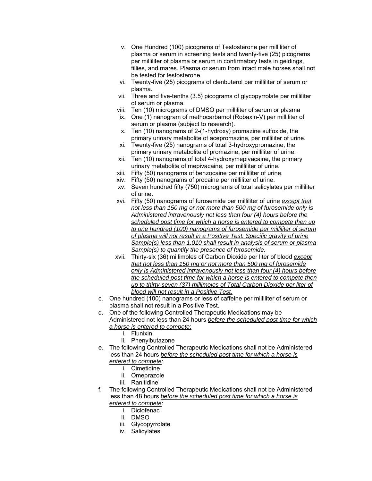- v. One Hundred (100) picograms of Testosterone per milliliter of plasma or serum in screening tests and twenty-five (25) picograms per milliliter of plasma or serum in confirmatory tests in geldings, fillies, and mares. Plasma or serum from intact male horses shall not be tested for testosterone.
- vi. Twenty-five (25) picograms of clenbuterol per milliliter of serum or plasma.
- vii. Three and five-tenths (3.5) picograms of glycopyrrolate per milliliter of serum or plasma.
- viii. Ten (10) micrograms of DMSO per milliliter of serum or plasma
- ix. One (1) nanogram of methocarbamol (Robaxin-V) per milliliter of serum or plasma (subject to research).
- x. Ten (10) nanograms of 2-(1-hydroxy) promazine sulfoxide, the primary urinary metabolite of acepromazine, per milliliter of urine.
- xi. Twenty-five (25) nanograms of total 3-hydroxypromazine, the primary urinary metabolite of promazine, per milliliter of urine.
- xii. Ten (10) nanograms of total 4-hydroxymepivacaine, the primary urinary metabolite of mepivacaine, per milliliter of urine.
- xiii. Fifty (50) nanograms of benzocaine per milliliter of urine.
- xiv. Fifty (50) nanograms of procaine per milliliter of urine.
- xv. Seven hundred fifty (750) micrograms of total salicylates per milliliter of urine.
- xvi. Fifty (50) nanograms of furosemide per milliliter of urine *except that not less than 150 mg or not more than 500 mg of furosemide only is Administered intravenously not less than four (4) hours before the scheduled post time for which a horse is entered to compete then up to one hundred (100) nanograms of furosemide per milliliter of serum of plasma will not result in a Positive Test. Specific gravity of urine Sample(s) less than 1.010 shall result in analysis of serum or plasma Sample(s) to quantify the presence of furosemide.*
- xvii. Thirty-six (36) millimoles of Carbon Dioxide per liter of blood *except that not less than 150 mg or not more than 500 mg of furosemide only is Administered intravenously not less than four (4) hours before the scheduled post time for which a horse is entered to compete then up to thirty-seven (37) millimoles of Total Carbon Dioxide per liter of blood will not result in a Positive Test.*
- c. One hundred (100) nanograms or less of caffeine per milliliter of serum or plasma shall not result in a Positive Test.
- d. One of the following Controlled Therapeutic Medications may be Administered not less than 24 hours *before the scheduled post time for which a horse is entered to compete*:
	- i. Flunixin
	- ii. Phenylbutazone
- e. The following Controlled Therapeutic Medications shall not be Administered less than 24 hours *before the scheduled post time for which a horse is entered to compete*:
	- i. Cimetidine
	- ii. Omeprazole
	- iii. Ranitidine
- f. The following Controlled Therapeutic Medications shall not be Administered less than 48 hours *before the scheduled post time for which a horse is entered to compete*:
	- i. Diclofenac
	- ii. DMSO
	- iii. Glycopyrrolate
	- iv. Salicylates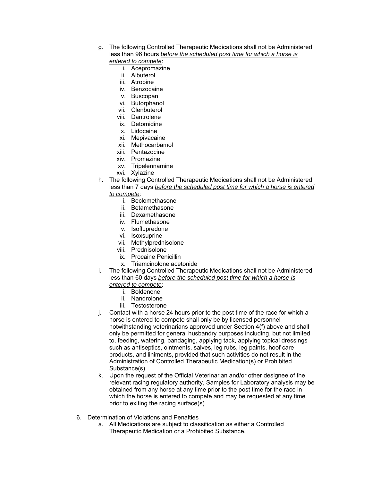- g. The following Controlled Therapeutic Medications shall not be Administered less than 96 hours *before the scheduled post time for which a horse is entered to compete*:
	- i. Acepromazine
	- ii. Albuterol
	- iii. Atropine
	- iv. Benzocaine
	- v. Buscopan
	- vi. Butorphanol
	- vii. Clenbuterol
	- viii. Dantrolene
	- ix. Detomidine
	- x. Lidocaine
	- xi. Mepivacaine
	- xii. Methocarbamol
	- xiii. Pentazocine
	- xiv. Promazine
	- xv. Tripelennamine
	- xvi. Xylazine
- h. The following Controlled Therapeutic Medications shall not be Administered less than 7 days *before the scheduled post time for which a horse is entered to compete*:
	- i. Beclomethasone
	- ii. Betamethasone
	- iii. Dexamethasone
	- iv. Flumethasone
	- v. Isoflupredone
	- vi. Isoxsuprine
	- vii. Methylprednisolone
	- viii. Prednisolone
	- ix. Procaine Penicillin
	- x. Triamcinolone acetonide
- i. The following Controlled Therapeutic Medications shall not be Administered less than 60 days *before the scheduled post time for which a horse is* 
	- *entered to compete*:
		- i. Boldenone
		- ii. Nandrolone
		- iii. Testosterone
- j. Contact with a horse 24 hours prior to the post time of the race for which a horse is entered to compete shall only be by licensed personnel notwithstanding veterinarians approved under Section 4(f) above and shall only be permitted for general husbandry purposes including, but not limited to, feeding, watering, bandaging, applying tack, applying topical dressings such as antiseptics, ointments, salves, leg rubs, leg paints, hoof care products, and liniments, provided that such activities do not result in the Administration of Controlled Therapeutic Medication(s) or Prohibited Substance(s).
- k. Upon the request of the Official Veterinarian and/or other designee of the relevant racing regulatory authority, Samples for Laboratory analysis may be obtained from any horse at any time prior to the post time for the race in which the horse is entered to compete and may be requested at any time prior to exiting the racing surface(s).
- 6. Determination of Violations and Penalties
	- a. All Medications are subject to classification as either a Controlled Therapeutic Medication or a Prohibited Substance.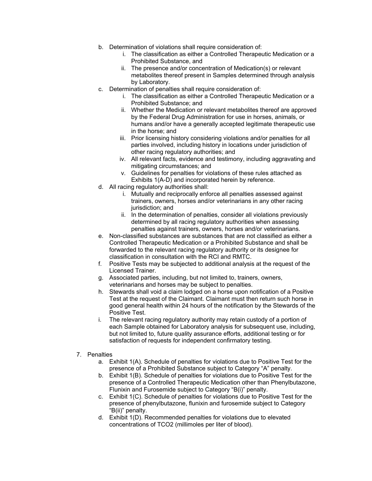- b. Determination of violations shall require consideration of:
	- i. The classification as either a Controlled Therapeutic Medication or a Prohibited Substance, and
	- ii. The presence and/or concentration of Medication(s) or relevant metabolites thereof present in Samples determined through analysis by Laboratory.
- c. Determination of penalties shall require consideration of:
	- i. The classification as either a Controlled Therapeutic Medication or a Prohibited Substance; and
	- ii. Whether the Medication or relevant metabolites thereof are approved by the Federal Drug Administration for use in horses, animals, or humans and/or have a generally accepted legitimate therapeutic use in the horse; and
	- iii. Prior licensing history considering violations and/or penalties for all parties involved, including history in locations under jurisdiction of other racing regulatory authorities; and
	- iv. All relevant facts, evidence and testimony, including aggravating and mitigating circumstances; and
	- v. Guidelines for penalties for violations of these rules attached as Exhibits 1(A-D) and incorporated herein by reference.
- d. All racing regulatory authorities shall:
	- i. Mutually and reciprocally enforce all penalties assessed against trainers, owners, horses and/or veterinarians in any other racing jurisdiction; and
	- ii. In the determination of penalties, consider all violations previously determined by all racing regulatory authorities when assessing penalties against trainers, owners, horses and/or veterinarians.
- e. Non-classified substances are substances that are not classified as either a Controlled Therapeutic Medication or a Prohibited Substance and shall be forwarded to the relevant racing regulatory authority or its designee for classification in consultation with the RCI and RMTC.
- f. Positive Tests may be subjected to additional analysis at the request of the Licensed Trainer.
- g. Associated parties, including, but not limited to, trainers, owners, veterinarians and horses may be subject to penalties.
- h. Stewards shall void a claim lodged on a horse upon notification of a Positive Test at the request of the Claimant. Claimant must then return such horse in good general health within 24 hours of the notification by the Stewards of the Positive Test.
- i. The relevant racing regulatory authority may retain custody of a portion of each Sample obtained for Laboratory analysis for subsequent use, including, but not limited to, future quality assurance efforts, additional testing or for satisfaction of requests for independent confirmatory testing.
- 7. Penalties
	- a. Exhibit 1(A). Schedule of penalties for violations due to Positive Test for the presence of a Prohibited Substance subject to Category "A" penalty.
	- b. Exhibit 1(B). Schedule of penalties for violations due to Positive Test for the presence of a Controlled Therapeutic Medication other than Phenylbutazone, Flunixin and Furosemide subject to Category "B(i)" penalty.
	- c. Exhibit 1(C). Schedule of penalties for violations due to Positive Test for the presence of phenylbutazone, flunixin and furosemide subject to Category "B(ii)" penalty.
	- d. Exhibit 1(D). Recommended penalties for violations due to elevated concentrations of TCO2 (millimoles per liter of blood).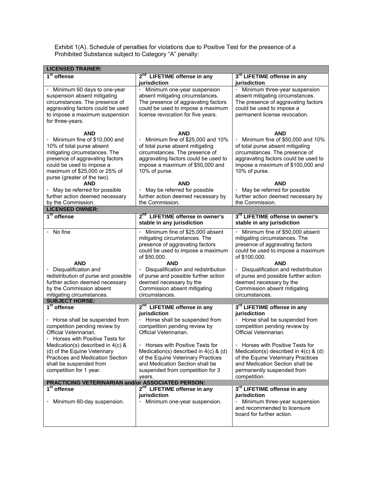Exhibit 1(A). Schedule of penalties for violations due to Positive Test for the presence of a Prohibited Substance subject to Category "A" penalty:

| <b>LICENSED TRAINER:</b>                                                                                                                                                                                                                                                                                       |                                                                                                                                                                                                                                                                                                                                                           |                                                                                                                                                                                                                                                                                                                                                 |  |
|----------------------------------------------------------------------------------------------------------------------------------------------------------------------------------------------------------------------------------------------------------------------------------------------------------------|-----------------------------------------------------------------------------------------------------------------------------------------------------------------------------------------------------------------------------------------------------------------------------------------------------------------------------------------------------------|-------------------------------------------------------------------------------------------------------------------------------------------------------------------------------------------------------------------------------------------------------------------------------------------------------------------------------------------------|--|
| 1 <sup>st</sup> offense                                                                                                                                                                                                                                                                                        | 2 <sup>nd</sup> LIFETIME offense in any<br>iurisdiction                                                                                                                                                                                                                                                                                                   | 3rd LIFETIME offense in any<br>jurisdiction                                                                                                                                                                                                                                                                                                     |  |
| • Minimum 60 days to one-year<br>suspension absent mitigating<br>circumstances. The presence of<br>aggravating factors could be used<br>to impose a maximum suspension<br>for three-years.                                                                                                                     | Minimum one-year suspension<br>$\circ$<br>absent mitigating circumstances.<br>The presence of aggravating factors<br>could be used to impose a maximum<br>license revocation for five years.                                                                                                                                                              | • Minimum three-year suspension<br>absent mitigating circumstances.<br>The presence of aggravating factors<br>could be used to impose a<br>permanent license revocation.                                                                                                                                                                        |  |
| <b>AND</b><br>Minimum fine of \$10,000 and<br>10% of total purse absent<br>mitigating circumstances. The<br>presence of aggravating factors<br>could be used to impose a<br>maximum of \$25,000 or 25% of<br>purse (greater of the two).                                                                       | <b>AND</b><br>Minimum fine of \$25,000 and 10%<br>$\circ$<br>of total purse absent mitigating<br>circumstances. The presence of<br>aggravating factors could be used to<br>impose a maximum of \$50,000 and<br>10% of purse.                                                                                                                              | <b>AND</b><br>Minimum fine of \$50,000 and 10%<br>of total purse absent mitigating<br>circumstances. The presence of<br>aggravating factors could be used to<br>impose a maximum of \$100,000 and<br>10% of purse.                                                                                                                              |  |
| <b>AND</b><br>• May be referred for possible<br>further action deemed necessary<br>by the Commission.                                                                                                                                                                                                          | <b>AND</b><br>May be referred for possible<br>$\circ$<br>further action deemed necessary by<br>the Commission.                                                                                                                                                                                                                                            | <b>AND</b><br>May be referred for possible<br>$\circ$<br>further action deemed necessary by<br>the Commission.                                                                                                                                                                                                                                  |  |
| <b>LICENSED OWNER:</b>                                                                                                                                                                                                                                                                                         |                                                                                                                                                                                                                                                                                                                                                           |                                                                                                                                                                                                                                                                                                                                                 |  |
| $1st$ offense                                                                                                                                                                                                                                                                                                  | 2 <sup>nd</sup> LIFETIME offense in owner's<br>stable in any jurisdiction                                                                                                                                                                                                                                                                                 | 3 <sup>rd</sup> LIFETIME offense in owner's<br>stable in any jurisdiction                                                                                                                                                                                                                                                                       |  |
| No fine<br>$\circ$<br><b>AND</b><br>• Disqualification and<br>redistribution of purse and possible<br>further action deemed necessary<br>by the Commission absent                                                                                                                                              | Minimum fine of \$25,000 absent<br>mitigating circumstances. The<br>presence of aggravating factors<br>could be used to impose a maximum<br>of \$50,000.<br>AND<br>Disqualification and redistribution<br>of purse and possible further action<br>deemed necessary by the<br>Commission absent mitigating                                                 | Minimum fine of \$50,000 absent<br>mitigating circumstances. The<br>presence of aggravating factors<br>could be used to impose a maximum<br>of \$100,000.<br><b>AND</b><br>• Disqualification and redistribution<br>of purse and possible further action<br>deemed necessary by the<br>Commission absent mitigating                             |  |
| mitigating circumstances.<br><b>SUBJECT HORSE:</b>                                                                                                                                                                                                                                                             | circumstances.                                                                                                                                                                                                                                                                                                                                            | circumstances.                                                                                                                                                                                                                                                                                                                                  |  |
| $1st$ offense<br>• Horse shall be suspended from<br>competition pending review by<br>Official Veterinarian.<br>Horses with Positive Tests for<br>Medication(s) described in $4(c)$ &<br>(d) of the Equine Veterinary<br>Practices and Medication Section<br>shall be suspended from<br>competition for 1 year. | 2 <sup>nd</sup> LIFETIME offense in any<br>jurisdiction<br>Horse shall be suspended from<br>competition pending review by<br>Official Veterinarian.<br>• Horses with Positive Tests for<br>Medication(s) described in $4(c)$ & (d)<br>of the Equine Veterinary Practices<br>and Medication Section shall be<br>suspended from competition for 3<br>years. | 3rd LIFETIME offense in any<br>jurisdiction<br>• Horse shall be suspended from<br>competition pending review by<br>Official Veterinarian.<br>• Horses with Positive Tests for<br>Medication(s) described in $4(c)$ & (d)<br>of the Equine Veterinary Practices<br>and Medication Section shall be<br>permanently suspended from<br>competition. |  |
| <b>PRACTICING VETERINARIAN and/or ASSOCIATED PERSON:</b>                                                                                                                                                                                                                                                       |                                                                                                                                                                                                                                                                                                                                                           |                                                                                                                                                                                                                                                                                                                                                 |  |
| 1 <sup>st</sup> offense<br>Minimum 60-day suspension.<br>$\circ$                                                                                                                                                                                                                                               | 2 <sup>nd</sup> LIFETIME offense in any<br>jurisdiction<br>• Minimum one-year suspension.                                                                                                                                                                                                                                                                 | 3rd LIFETIME offense in any<br>jurisdiction<br>• Minimum three-year suspension<br>and recommended to licensure<br>board for further action.                                                                                                                                                                                                     |  |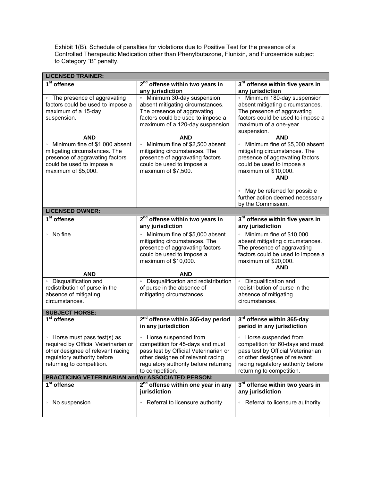Exhibit 1(B). Schedule of penalties for violations due to Positive Test for the presence of a Controlled Therapeutic Medication other than Phenylbutazone, Flunixin, and Furosemide subject to Category "B" penalty.

| <b>LICENSED TRAINER:</b>                                         |                                                                              |                                                                  |
|------------------------------------------------------------------|------------------------------------------------------------------------------|------------------------------------------------------------------|
| 1 <sup>st</sup> offense                                          | 2 <sup>nd</sup> offense within two years in                                  | 3rd offense within five years in                                 |
|                                                                  | any jurisdiction                                                             | any jurisdiction                                                 |
| • The presence of aggravating                                    | Minimum 30-day suspension                                                    | Minimum 180-day suspension                                       |
| factors could be used to impose a                                | absent mitigating circumstances.                                             | absent mitigating circumstances.                                 |
| maximum of a 15-day                                              | The presence of aggravating                                                  | The presence of aggravating                                      |
| suspension.                                                      | factors could be used to impose a                                            | factors could be used to impose a                                |
|                                                                  | maximum of a 120-day suspension.                                             | maximum of a one-year                                            |
|                                                                  |                                                                              | suspension.                                                      |
| <b>AND</b>                                                       | <b>AND</b>                                                                   | <b>AND</b>                                                       |
| Minimum fine of \$1,000 absent                                   | Minimum fine of \$2,500 absent                                               | • Minimum fine of \$5,000 absent                                 |
| mitigating circumstances. The<br>presence of aggravating factors | mitigating circumstances. The<br>presence of aggravating factors             | mitigating circumstances. The<br>presence of aggravating factors |
| could be used to impose a                                        | could be used to impose a                                                    | could be used to impose a                                        |
| maximum of \$5,000.                                              | maximum of \$7,500.                                                          | maximum of \$10,000.                                             |
|                                                                  |                                                                              | AND                                                              |
|                                                                  |                                                                              |                                                                  |
|                                                                  |                                                                              | May be referred for possible<br>$\circ$                          |
|                                                                  |                                                                              | further action deemed necessary                                  |
|                                                                  |                                                                              | by the Commission.                                               |
| <b>LICENSED OWNER:</b>                                           |                                                                              |                                                                  |
| 1 <sup>st</sup> offense                                          | 2 <sup>nd</sup> offense within two years in                                  | 3rd offense within five years in                                 |
|                                                                  | any jurisdiction                                                             | any jurisdiction                                                 |
| No fine<br>$\circ$                                               | • Minimum fine of \$5,000 absent                                             | Minimum fine of \$10,000<br>$\circ$                              |
|                                                                  | mitigating circumstances. The                                                | absent mitigating circumstances.                                 |
|                                                                  | presence of aggravating factors                                              | The presence of aggravating                                      |
|                                                                  | could be used to impose a                                                    | factors could be used to impose a                                |
|                                                                  | maximum of \$10,000.                                                         | maximum of \$20,000.                                             |
|                                                                  |                                                                              | AND                                                              |
| <b>AND</b><br>• Disqualification and                             | <b>AND</b>                                                                   |                                                                  |
| redistribution of purse in the                                   | Disqualification and redistribution<br>$\circ$<br>of purse in the absence of | • Disqualification and<br>redistribution of purse in the         |
| absence of mitigating                                            | mitigating circumstances.                                                    | absence of mitigating                                            |
| circumstances.                                                   |                                                                              | circumstances.                                                   |
|                                                                  |                                                                              |                                                                  |
| <b>SUBJECT HORSE:</b>                                            |                                                                              |                                                                  |
| 1 <sup>st</sup> offense                                          | 2 <sup>nd</sup> offense within 365-day period                                | 3rd offense within 365-day                                       |
|                                                                  | in any jurisdiction                                                          | period in any jurisdiction                                       |
| Horse must pass test(s) as<br>$\circ$                            | • Horse suspended from                                                       | • Horse suspended from                                           |
| required by Official Veterinarian or                             | competition for 45-days and must                                             | competition for 60-days and must                                 |
| other designee of relevant racing                                | pass test by Official Veterinarian or                                        | pass test by Official Veterinarian                               |
| regulatory authority before                                      | other designee of relevant racing                                            | or other designee of relevant                                    |
| returning to competition.                                        | regulatory authority before returning                                        | racing regulatory authority before                               |
|                                                                  | to competition.                                                              | returning to competition.                                        |
| PRACTICING VETERINARIAN and/or ASSOCIATED PERSON:                |                                                                              |                                                                  |
| 1 <sup>st</sup> offense                                          | 2 <sup>nd</sup> offense within one year in any                               | 3rd offense within two years in                                  |
|                                                                  | jurisdiction                                                                 | any jurisdiction                                                 |
| No suspension<br>$\circ$                                         | Referral to licensure authority<br>$\circ$                                   | Referral to licensure authority<br>$\circ$                       |
|                                                                  |                                                                              |                                                                  |
|                                                                  |                                                                              |                                                                  |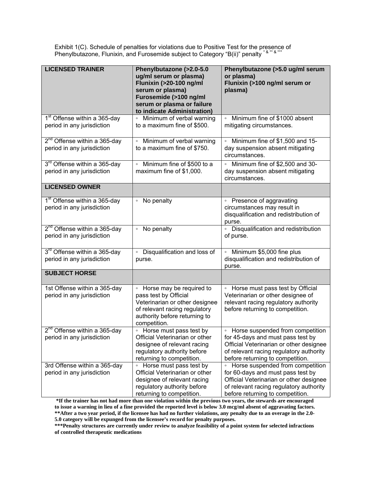Exhibit 1(C). Schedule of penalties for violations due to Positive Test for the presence of Phenylbutazone, Flunixin, and Furosemide subject to Category "B(ii)" penalty \* & \*\*\* & \*\*\*

| <b>LICENSED TRAINER</b>                                                | Phenylbutazone (>2.0-5.0<br>ug/ml serum or plasma)<br>Flunixin (>20-100 ng/ml<br>serum or plasma)<br>Furosemide (>100 ng/ml<br>serum or plasma or failure<br>to indicate Administration) | Phenylbutazone (>5.0 ug/ml serum<br>or plasma)<br>Flunixin (>100 ng/ml serum or<br>plasma)                                                                                                                 |
|------------------------------------------------------------------------|------------------------------------------------------------------------------------------------------------------------------------------------------------------------------------------|------------------------------------------------------------------------------------------------------------------------------------------------------------------------------------------------------------|
| 1 <sup>st</sup> Offense within a 365-day<br>period in any jurisdiction | • Minimum of verbal warning<br>to a maximum fine of \$500.                                                                                                                               | Minimum fine of \$1000 absent<br>mitigating circumstances.                                                                                                                                                 |
| 2 <sup>nd</sup> Offense within a 365-day<br>period in any jurisdiction | Minimum of verbal warning<br>$\circ$<br>to a maximum fine of \$750.                                                                                                                      | Minimum fine of \$1,500 and 15-<br>day suspension absent mitigating<br>circumstances.                                                                                                                      |
| 3 <sup>rd</sup> Offense within a 365-day<br>period in any jurisdiction | • Minimum fine of \$500 to a<br>maximum fine of \$1,000.                                                                                                                                 | • Minimum fine of \$2,500 and 30-<br>day suspension absent mitigating<br>circumstances.                                                                                                                    |
| <b>LICENSED OWNER</b>                                                  |                                                                                                                                                                                          |                                                                                                                                                                                                            |
| 1 <sup>st</sup> Offense within a 365-day<br>period in any jurisdiction | • No penalty                                                                                                                                                                             | • Presence of aggravating<br>circumstances may result in<br>disqualification and redistribution of<br>purse.                                                                                               |
| 2 <sup>nd</sup> Offense within a 365-day<br>period in any jurisdiction | No penalty<br>$\circ$                                                                                                                                                                    | • Disqualification and redistribution<br>of purse.                                                                                                                                                         |
| 3 <sup>rd</sup> Offense within a 365-day<br>period in any jurisdiction | • Disqualification and loss of<br>purse.                                                                                                                                                 | • Minimum \$5,000 fine plus<br>disqualification and redistribution of<br>purse.                                                                                                                            |
| <b>SUBJECT HORSE</b>                                                   |                                                                                                                                                                                          |                                                                                                                                                                                                            |
| 1st Offense within a 365-day<br>period in any jurisdiction             | • Horse may be required to<br>pass test by Official<br>Veterinarian or other designee<br>of relevant racing regulatory<br>authority before returning to<br>competition.                  | • Horse must pass test by Official<br>Veterinarian or other designee of<br>relevant racing regulatory authority<br>before returning to competition.                                                        |
| $2nd$ Offense within a 365-day<br>period in any jurisdiction           | • Horse must pass test by<br>Official Veterinarian or other<br>designee of relevant racing<br>regulatory authority before<br>returning to competition.                                   | • Horse suspended from competition<br>for 45-days and must pass test by<br>Official Veterinarian or other designee<br>of relevant racing regulatory authority<br>before returning to competition.          |
| 3rd Offense within a 365-day<br>period in any jurisdiction             | • Horse must pass test by<br>Official Veterinarian or other<br>designee of relevant racing<br>regulatory authority before<br>returning to competition.                                   | Horse suspended from competition<br>$\circ$<br>for 60-days and must pass test by<br>Official Veterinarian or other designee<br>of relevant racing regulatory authority<br>before returning to competition. |

**\*If the trainer has not had more than one violation within the previous two years, the stewards are encouraged to issue a warning in lieu of a fine provided the reported level is below 3.0 mcg/ml absent of aggravating factors. \*\*After a two year period, if the licensee has had no further violations, any penalty due to an overage in the 2.0-**

**5.0 category will be expunged from the licensee's record for penalty purposes.** 

**\*\*\*Penalty structures are currently under review to analyze feasibility of a point system for selected infractions of controlled therapeutic medications**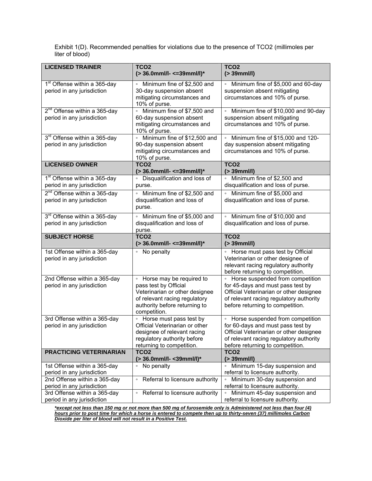Exhibit 1(D). Recommended penalties for violations due to the presence of TCO2 (millimoles per liter of blood)

| <b>LICENSED TRAINER</b>                                                                    | TCO <sub>2</sub><br>(> 36.0mml/l- <= 39mml/l)*                                                                                                                          | TCO <sub>2</sub><br>$( > 39$ mml/l)                                                                                                                                                               |
|--------------------------------------------------------------------------------------------|-------------------------------------------------------------------------------------------------------------------------------------------------------------------------|---------------------------------------------------------------------------------------------------------------------------------------------------------------------------------------------------|
| 1 <sup>st</sup> Offense within a 365-day<br>period in any jurisdiction                     | Minimum fine of \$2,500 and<br>30-day suspension absent<br>mitigating circumstances and<br>10% of purse.                                                                | Minimum fine of \$5,000 and 60-day<br>suspension absent mitigating<br>circumstances and 10% of purse.                                                                                             |
| 2 <sup>nd</sup> Offense within a 365-day<br>period in any jurisdiction                     | • Minimum fine of \$7,500 and<br>60-day suspension absent<br>mitigating circumstances and<br>10% of purse.                                                              | Minimum fine of \$10,000 and 90-day<br>suspension absent mitigating<br>circumstances and 10% of purse.                                                                                            |
| 3 <sup>rd</sup> Offense within a 365-day<br>period in any jurisdiction                     | Minimum fine of \$12,500 and<br>$\circ$<br>90-day suspension absent<br>mitigating circumstances and<br>10% of purse.                                                    | Minimum fine of \$15,000 and 120-<br>day suspension absent mitigating<br>circumstances and 10% of purse.                                                                                          |
| <b>LICENSED OWNER</b>                                                                      | TCO <sub>2</sub><br>(> 36.0mml/l- <= 39mml/l)*                                                                                                                          | TCO <sub>2</sub><br>$( > 39$ mml/l)                                                                                                                                                               |
| 1 <sup>st</sup> Offense within a 365-day<br>period in any jurisdiction                     | Disqualification and loss of<br>purse.                                                                                                                                  | Minimum fine of \$2,500 and<br>disqualification and loss of purse.                                                                                                                                |
| 2 <sup>nd</sup> Offense within a 365-day<br>period in any jurisdiction                     | Minimum fine of \$2,500 and<br>$\circ$<br>disqualification and loss of<br>purse.                                                                                        | Minimum fine of \$5,000 and<br>disqualification and loss of purse.                                                                                                                                |
| 3rd Offense within a 365-day<br>period in any jurisdiction                                 | Minimum fine of \$5,000 and<br>$\circ$<br>disqualification and loss of<br>purse.                                                                                        | • Minimum fine of \$10,000 and<br>disqualification and loss of purse.                                                                                                                             |
|                                                                                            |                                                                                                                                                                         |                                                                                                                                                                                                   |
| <b>SUBJECT HORSE</b>                                                                       | TCO <sub>2</sub><br>(> 36.0mml/l- <= 39mml/l)*                                                                                                                          | <b>TCO2</b><br>$( > 39$ mml/l $)$                                                                                                                                                                 |
| 1st Offense within a 365-day<br>period in any jurisdiction                                 | No penalty<br>$\circ$                                                                                                                                                   | • Horse must pass test by Official<br>Veterinarian or other designee of<br>relevant racing regulatory authority<br>before returning to competition.                                               |
| 2nd Offense within a 365-day<br>period in any jurisdiction                                 | • Horse may be required to<br>pass test by Official<br>Veterinarian or other designee<br>of relevant racing regulatory<br>authority before returning to<br>competition. | • Horse suspended from competition<br>for 45-days and must pass test by<br>Official Veterinarian or other designee<br>of relevant racing regulatory authority<br>before returning to competition. |
| 3rd Offense within a 365-day<br>period in any jurisdiction                                 | • Horse must pass test by<br>Official Veterinarian or other<br>designee of relevant racing<br>regulatory authority before<br>returning to competition.                  | • Horse suspended from competition<br>for 60-days and must pass test by<br>Official Veterinarian or other designee<br>of relevant racing regulatory authority<br>before returning to competition. |
| PRACTICING VETERINARIAN                                                                    | TCO <sub>2</sub><br>(> 36.0mml/l- < 39mml/l)*                                                                                                                           | TCO <sub>2</sub><br>$($ 39mml/l)                                                                                                                                                                  |
| 1st Offense within a 365-day<br>period in any jurisdiction                                 | No penalty<br>$\circ$                                                                                                                                                   | Minimum 15-day suspension and<br>$\circ$<br>referral to licensure authority.                                                                                                                      |
| 2nd Offense within a 365-day<br>period in any jurisdiction<br>3rd Offense within a 365-day | Referral to licensure authority<br>$\circ$<br>• Referral to licensure authority                                                                                         | Minimum 30-day suspension and<br>$\circ$<br>referral to licensure authority.<br>• Minimum 45-day suspension and                                                                                   |

*\*except not less than 150 mg or not more than 500 mg of furosemide only is Administered not less than four (4) hours prior to post time for which a horse is entered to compete then up to thirty-seven (37) millimoles Carbon Dioxide per liter of blood will not result in a Positive Test.*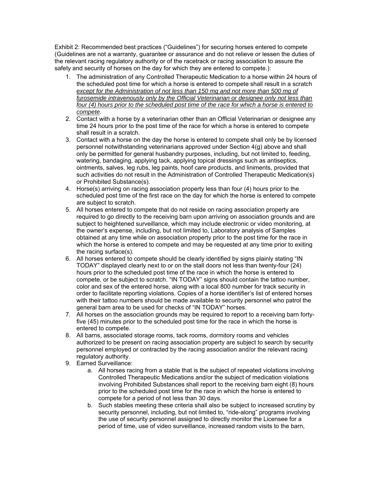Exhibit 2: Recommended best practices ("Guidelines") for securing horses entered to compete (Guidelines are not a warranty, guarantee or assurance and do not relieve or lessen the duties of the relevant racing regulatory authority or of the racetrack or racing association to assure the safety and security of horses on the day for which they are entered to compete.):

- 1. The administration of any Controlled Therapeutic Medication to a horse within 24 hours of the scheduled post time for which a horse is entered to compete shall result in a scratch *except for the Administration of not less than 150 mg and not more than 500 mg of furosemide intravenously only by the Official Veterinarian or designee only not less than four (4) hours prior to the scheduled post time of the race for which a horse is entered to compete*.
- 2. Contact with a horse by a veterinarian other than an Official Veterinarian or designee any time 24 hours prior to the post time of the race for which a horse is entered to compete shall result in a scratch.
- 3. Contact with a horse on the day the horse is entered to compete shall only be by licensed personnel notwithstanding veterinarians approved under Section 4(g) above and shall only be permitted for general husbandry purposes, including, but not limited to, feeding, watering, bandaging, applying tack, applying topical dressings such as antiseptics, ointments, salves, leg rubs, leg paints, hoof care products, and liniments, provided that such activities do not result in the Administration of Controlled Therapeutic Medication(s) or Prohibited Substance(s).
- 4. Horse(s) arriving on racing association property less than four (4) hours prior to the scheduled post time of the first race on the day for which the horse is entered to compete are subject to scratch.
- 5. All horses entered to compete that do not reside on racing association property are required to go directly to the receiving barn upon arriving on association grounds and are subject to heightened surveillance, which may include electronic or video monitoring, at the owner's expense, including, but not limited to, Laboratory analysis of Samples obtained at any time while on association property prior to the post time for the race in which the horse is entered to compete and may be requested at any time prior to exiting the racing surface(s).
- 6. All horses entered to compete should be clearly identified by signs plainly stating "IN TODAY" displayed clearly next to or on the stall doors not less than twenty-four (24) hours prior to the scheduled post time of the race in which the horse is entered to compete, or be subject to scratch. "IN TODAY" signs should contain the tattoo number, color and sex of the entered horse, along with a local 800 number for track security in order to facilitate reporting violations. Copies of a horse identifier's list of entered horses with their tattoo numbers should be made available to security personnel who patrol the general barn area to be used for checks of "IN TODAY" horses.
- 7. All horses on the association grounds may be required to report to a receiving barn fortyfive (45) minutes prior to the scheduled post time for the race in which the horse is entered to compete.
- 8. All barns, associated storage rooms, tack rooms, dormitory rooms and vehicles authorized to be present on racing association property are subject to search by security personnel employed or contracted by the racing association and/or the relevant racing regulatory authority.
- 9. Earned Surveillance:
	- a. All horses racing from a stable that is the subject of repeated violations involving Controlled Therapeutic Medications and/or the subject of medication violations involving Prohibited Substances shall report to the receiving barn eight (8) hours prior to the scheduled post time for the race in which the horse is entered to compete for a period of not less than 30 days.
	- b. Such stables meeting these criteria shall also be subject to increased scrutiny by security personnel, including, but not limited to, "ride-along" programs involving the use of security personnel assigned to directly monitor the Licensee for a period of time, use of video surveillance, increased random visits to the barn,